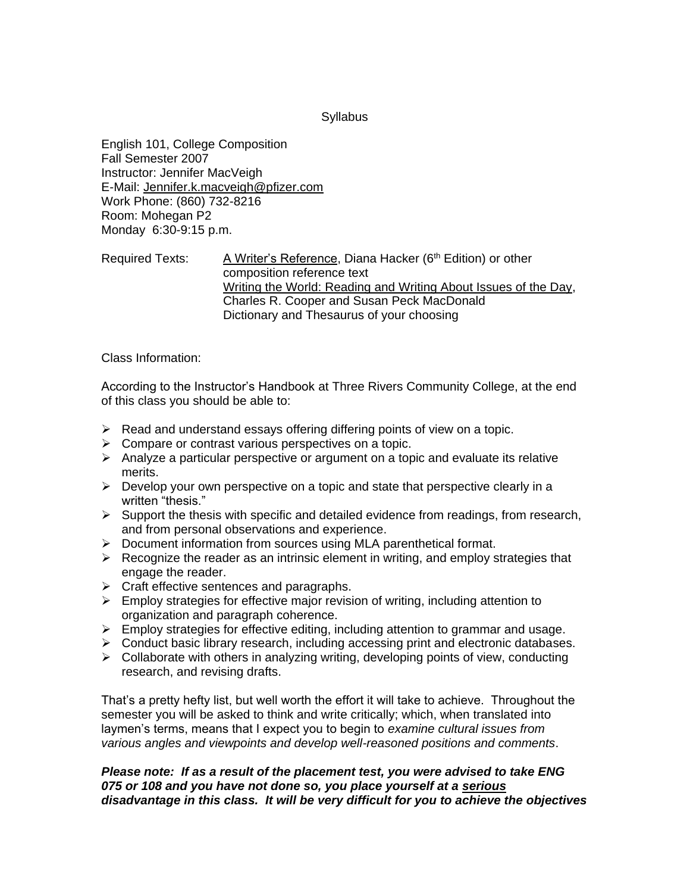### **Syllabus**

English 101, College Composition Fall Semester 2007 Instructor: Jennifer MacVeigh E-Mail: Jennifer.k.macveigh@pfizer.com Work Phone: (860) 732-8216 Room: Mohegan P2 Monday 6:30-9:15 p.m.

# Required Texts: A Writer's Reference, Diana Hacker (6<sup>th</sup> Edition) or other composition reference text Writing the World: Reading and Writing About Issues of the Day, Charles R. Cooper and Susan Peck MacDonald Dictionary and Thesaurus of your choosing

## Class Information:

According to the Instructor's Handbook at Three Rivers Community College, at the end of this class you should be able to:

- $\triangleright$  Read and understand essays offering differing points of view on a topic.
- $\triangleright$  Compare or contrast various perspectives on a topic.
- $\triangleright$  Analyze a particular perspective or argument on a topic and evaluate its relative merits.
- $\triangleright$  Develop your own perspective on a topic and state that perspective clearly in a written "thesis."
- $\triangleright$  Support the thesis with specific and detailed evidence from readings, from research, and from personal observations and experience.
- Document information from sources using MLA parenthetical format.
- $\triangleright$  Recognize the reader as an intrinsic element in writing, and employ strategies that engage the reader.
- $\triangleright$  Craft effective sentences and paragraphs.
- $\triangleright$  Employ strategies for effective major revision of writing, including attention to organization and paragraph coherence.
- $\triangleright$  Employ strategies for effective editing, including attention to grammar and usage.
- $\triangleright$  Conduct basic library research, including accessing print and electronic databases.
- $\triangleright$  Collaborate with others in analyzing writing, developing points of view, conducting research, and revising drafts.

That's a pretty hefty list, but well worth the effort it will take to achieve. Throughout the semester you will be asked to think and write critically; which, when translated into laymen's terms, means that I expect you to begin to *examine cultural issues from various angles and viewpoints and develop well-reasoned positions and comments*.

## *Please note: If as a result of the placement test, you were advised to take ENG 075 or 108 and you have not done so, you place yourself at a serious disadvantage in this class. It will be very difficult for you to achieve the objectives*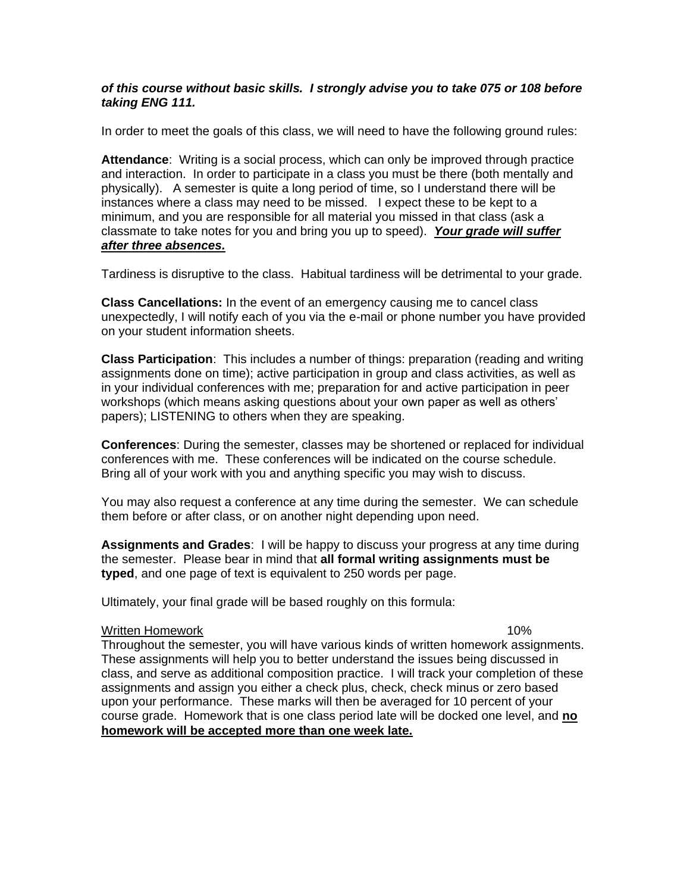## *of this course without basic skills. I strongly advise you to take 075 or 108 before taking ENG 111.*

In order to meet the goals of this class, we will need to have the following ground rules:

**Attendance**: Writing is a social process, which can only be improved through practice and interaction. In order to participate in a class you must be there (both mentally and physically). A semester is quite a long period of time, so I understand there will be instances where a class may need to be missed. I expect these to be kept to a minimum, and you are responsible for all material you missed in that class (ask a classmate to take notes for you and bring you up to speed). *Your grade will suffer after three absences.*

Tardiness is disruptive to the class. Habitual tardiness will be detrimental to your grade.

**Class Cancellations:** In the event of an emergency causing me to cancel class unexpectedly, I will notify each of you via the e-mail or phone number you have provided on your student information sheets.

**Class Participation**: This includes a number of things: preparation (reading and writing assignments done on time); active participation in group and class activities, as well as in your individual conferences with me; preparation for and active participation in peer workshops (which means asking questions about your own paper as well as others' papers); LISTENING to others when they are speaking.

**Conferences**: During the semester, classes may be shortened or replaced for individual conferences with me. These conferences will be indicated on the course schedule. Bring all of your work with you and anything specific you may wish to discuss.

You may also request a conference at any time during the semester. We can schedule them before or after class, or on another night depending upon need.

**Assignments and Grades**: I will be happy to discuss your progress at any time during the semester. Please bear in mind that **all formal writing assignments must be typed**, and one page of text is equivalent to 250 words per page.

Ultimately, your final grade will be based roughly on this formula:

#### Written Homework 10%

Throughout the semester, you will have various kinds of written homework assignments. These assignments will help you to better understand the issues being discussed in class, and serve as additional composition practice. I will track your completion of these assignments and assign you either a check plus, check, check minus or zero based upon your performance. These marks will then be averaged for 10 percent of your course grade. Homework that is one class period late will be docked one level, and **no homework will be accepted more than one week late.**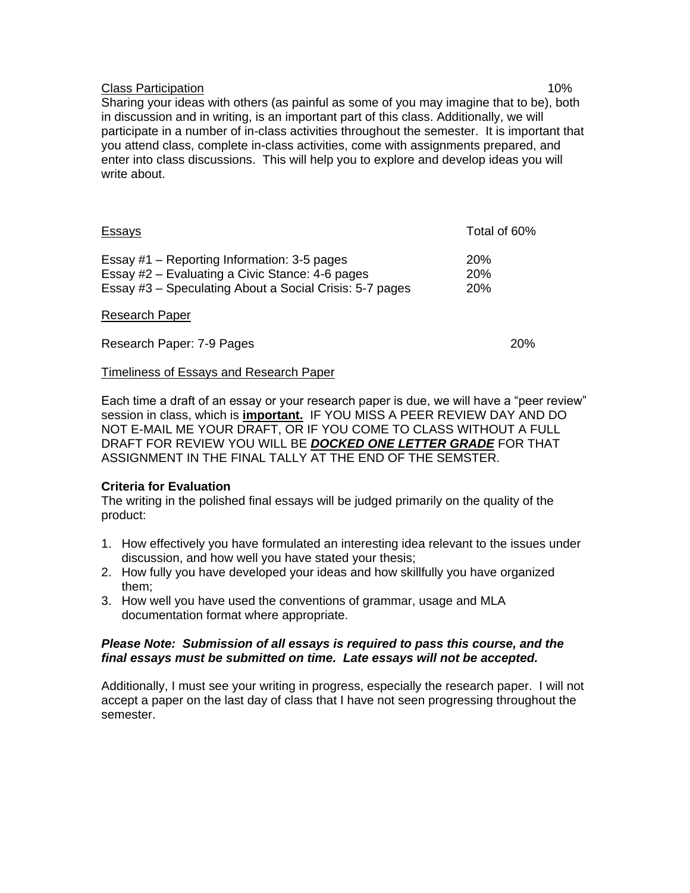## Class Participation **10%**

Sharing your ideas with others (as painful as some of you may imagine that to be), both in discussion and in writing, is an important part of this class. Additionally, we will participate in a number of in-class activities throughout the semester. It is important that you attend class, complete in-class activities, come with assignments prepared, and enter into class discussions. This will help you to explore and develop ideas you will write about.

| <u>Essays</u>                                                                                                                                             | Total of 60%                           |
|-----------------------------------------------------------------------------------------------------------------------------------------------------------|----------------------------------------|
| Essay #1 – Reporting Information: 3-5 pages<br>Essay #2 – Evaluating a Civic Stance: 4-6 pages<br>Essay #3 - Speculating About a Social Crisis: 5-7 pages | <b>20%</b><br><b>20%</b><br><b>20%</b> |
| <b>Research Paper</b>                                                                                                                                     |                                        |
| Research Paper: 7-9 Pages                                                                                                                                 | 20%                                    |

### Timeliness of Essays and Research Paper

Each time a draft of an essay or your research paper is due, we will have a "peer review" session in class, which is **important.** IF YOU MISS A PEER REVIEW DAY AND DO NOT E-MAIL ME YOUR DRAFT, OR IF YOU COME TO CLASS WITHOUT A FULL DRAFT FOR REVIEW YOU WILL BE *DOCKED ONE LETTER GRADE* FOR THAT ASSIGNMENT IN THE FINAL TALLY AT THE END OF THE SEMSTER.

### **Criteria for Evaluation**

The writing in the polished final essays will be judged primarily on the quality of the product:

- 1. How effectively you have formulated an interesting idea relevant to the issues under discussion, and how well you have stated your thesis;
- 2. How fully you have developed your ideas and how skillfully you have organized them;
- 3. How well you have used the conventions of grammar, usage and MLA documentation format where appropriate.

## *Please Note: Submission of all essays is required to pass this course, and the final essays must be submitted on time. Late essays will not be accepted.*

Additionally, I must see your writing in progress, especially the research paper. I will not accept a paper on the last day of class that I have not seen progressing throughout the semester.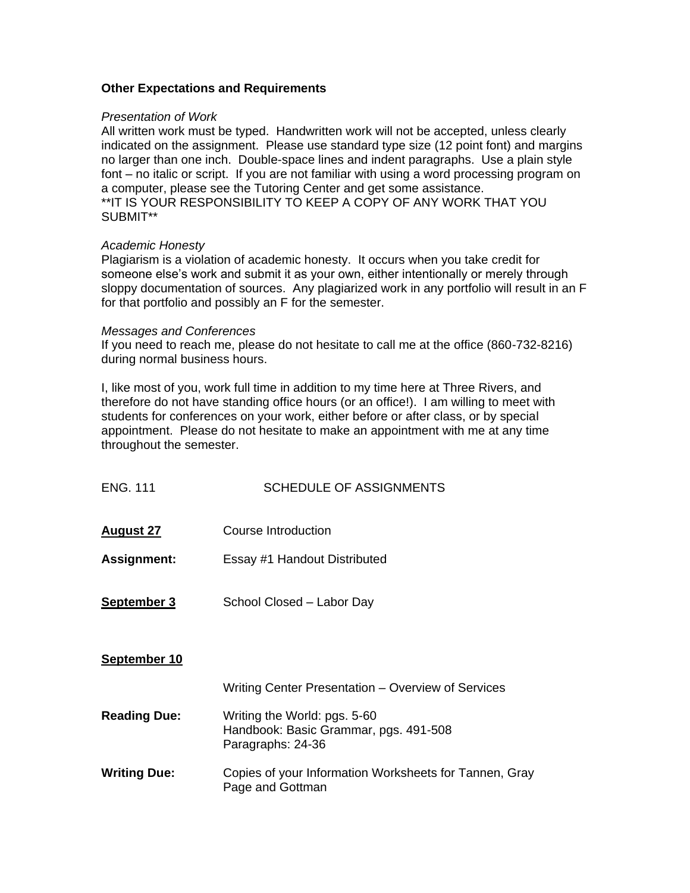### **Other Expectations and Requirements**

#### *Presentation of Work*

All written work must be typed. Handwritten work will not be accepted, unless clearly indicated on the assignment. Please use standard type size (12 point font) and margins no larger than one inch. Double-space lines and indent paragraphs. Use a plain style font – no italic or script. If you are not familiar with using a word processing program on a computer, please see the Tutoring Center and get some assistance. \*\*IT IS YOUR RESPONSIBILITY TO KEEP A COPY OF ANY WORK THAT YOU SUBMIT\*\*

### *Academic Honesty*

Plagiarism is a violation of academic honesty. It occurs when you take credit for someone else's work and submit it as your own, either intentionally or merely through sloppy documentation of sources. Any plagiarized work in any portfolio will result in an F for that portfolio and possibly an F for the semester.

#### *Messages and Conferences*

If you need to reach me, please do not hesitate to call me at the office (860-732-8216) during normal business hours.

I, like most of you, work full time in addition to my time here at Three Rivers, and therefore do not have standing office hours (or an office!). I am willing to meet with students for conferences on your work, either before or after class, or by special appointment. Please do not hesitate to make an appointment with me at any time throughout the semester.

| <b>ENG. 111</b>     | <b>SCHEDULE OF ASSIGNMENTS</b>                                                             |
|---------------------|--------------------------------------------------------------------------------------------|
| <u>August 27</u>    | Course Introduction                                                                        |
| <b>Assignment:</b>  | Essay #1 Handout Distributed                                                               |
| <b>September 3</b>  | School Closed - Labor Day                                                                  |
| September 10        |                                                                                            |
|                     | Writing Center Presentation – Overview of Services                                         |
| <b>Reading Due:</b> | Writing the World: pgs. 5-60<br>Handbook: Basic Grammar, pgs. 491-508<br>Paragraphs: 24-36 |
| <b>Writing Due:</b> | Copies of your Information Worksheets for Tannen, Gray<br>Page and Gottman                 |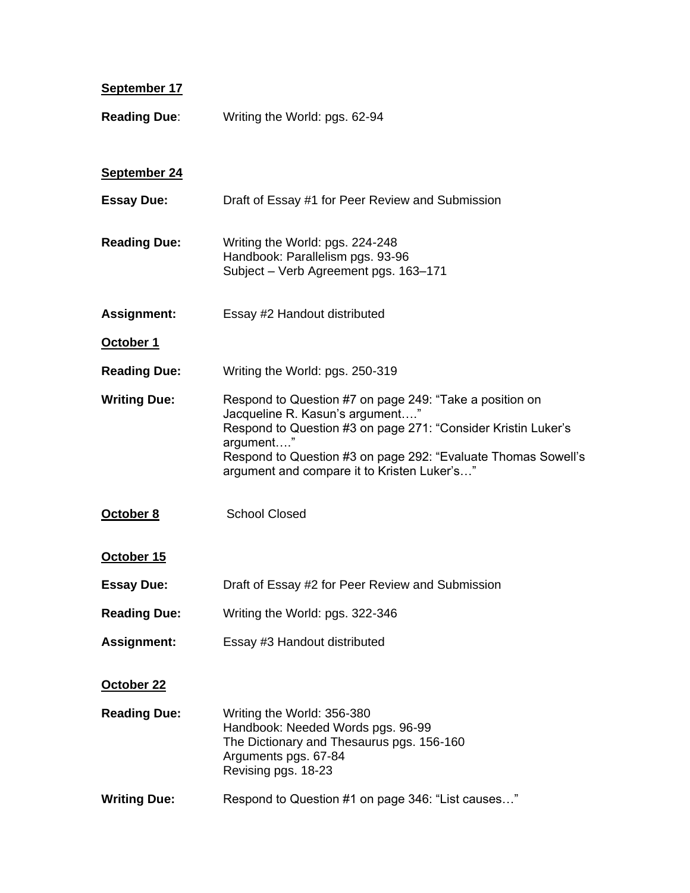| September 17        |                                                                                                                                                                                                                                                                                          |
|---------------------|------------------------------------------------------------------------------------------------------------------------------------------------------------------------------------------------------------------------------------------------------------------------------------------|
| <b>Reading Due:</b> | Writing the World: pgs. 62-94                                                                                                                                                                                                                                                            |
| September 24        |                                                                                                                                                                                                                                                                                          |
| <b>Essay Due:</b>   | Draft of Essay #1 for Peer Review and Submission                                                                                                                                                                                                                                         |
| <b>Reading Due:</b> | Writing the World: pgs. 224-248<br>Handbook: Parallelism pgs. 93-96<br>Subject - Verb Agreement pgs. 163-171                                                                                                                                                                             |
| <b>Assignment:</b>  | Essay #2 Handout distributed                                                                                                                                                                                                                                                             |
| October 1           |                                                                                                                                                                                                                                                                                          |
| <b>Reading Due:</b> | Writing the World: pgs. 250-319                                                                                                                                                                                                                                                          |
| <b>Writing Due:</b> | Respond to Question #7 on page 249: "Take a position on<br>Jacqueline R. Kasun's argument"<br>Respond to Question #3 on page 271: "Consider Kristin Luker's<br>argument"<br>Respond to Question #3 on page 292: "Evaluate Thomas Sowell's<br>argument and compare it to Kristen Luker's" |
| October 8           | <b>School Closed</b>                                                                                                                                                                                                                                                                     |
| October 15          |                                                                                                                                                                                                                                                                                          |
| <b>Essay Due:</b>   | Draft of Essay #2 for Peer Review and Submission                                                                                                                                                                                                                                         |
| <b>Reading Due:</b> | Writing the World: pgs. 322-346                                                                                                                                                                                                                                                          |
| <b>Assignment:</b>  | Essay #3 Handout distributed                                                                                                                                                                                                                                                             |
| October 22          |                                                                                                                                                                                                                                                                                          |
| <b>Reading Due:</b> | Writing the World: 356-380<br>Handbook: Needed Words pgs. 96-99<br>The Dictionary and Thesaurus pgs. 156-160<br>Arguments pgs. 67-84<br>Revising pgs. 18-23                                                                                                                              |
| <b>Writing Due:</b> | Respond to Question #1 on page 346: "List causes"                                                                                                                                                                                                                                        |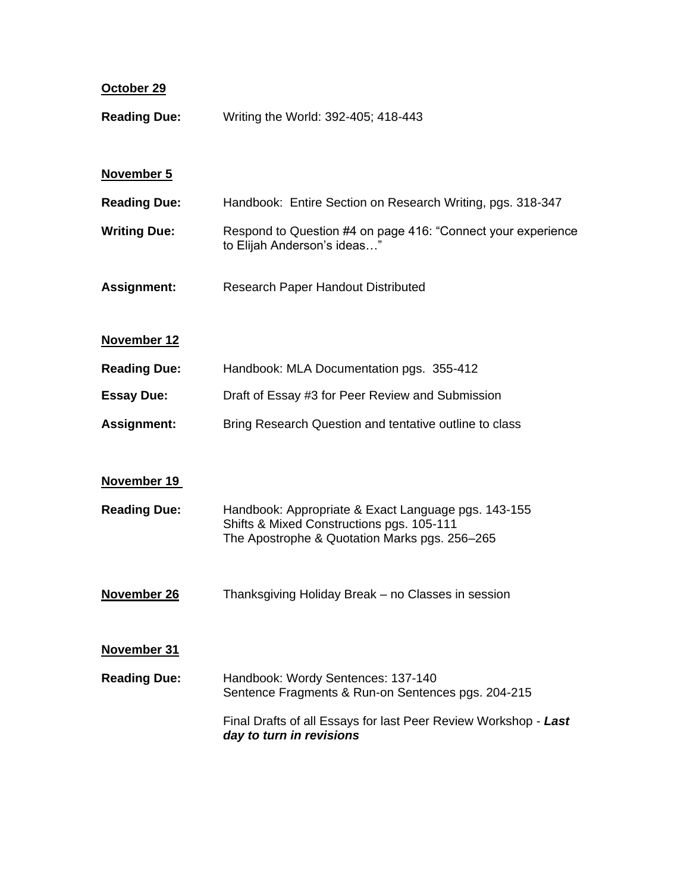| October 29          |                                                                                                                                                   |
|---------------------|---------------------------------------------------------------------------------------------------------------------------------------------------|
| <b>Reading Due:</b> | Writing the World: 392-405; 418-443                                                                                                               |
| November 5          |                                                                                                                                                   |
| <b>Reading Due:</b> | Handbook: Entire Section on Research Writing, pgs. 318-347                                                                                        |
| <b>Writing Due:</b> | Respond to Question #4 on page 416: "Connect your experience<br>to Elijah Anderson's ideas"                                                       |
| <b>Assignment:</b>  | Research Paper Handout Distributed                                                                                                                |
| November 12         |                                                                                                                                                   |
| <b>Reading Due:</b> | Handbook: MLA Documentation pgs. 355-412                                                                                                          |
| <b>Essay Due:</b>   | Draft of Essay #3 for Peer Review and Submission                                                                                                  |
| <b>Assignment:</b>  | Bring Research Question and tentative outline to class                                                                                            |
| November 19         |                                                                                                                                                   |
| <b>Reading Due:</b> | Handbook: Appropriate & Exact Language pgs. 143-155<br>Shifts & Mixed Constructions pgs. 105-111<br>The Apostrophe & Quotation Marks pgs. 256-265 |
| November 26         | Thanksgiving Holiday Break - no Classes in session                                                                                                |
| November 31         |                                                                                                                                                   |
| <b>Reading Due:</b> | Handbook: Wordy Sentences: 137-140<br>Sentence Fragments & Run-on Sentences pgs. 204-215                                                          |
|                     | Final Drafts of all Essays for last Peer Review Workshop - Last<br>day to turn in revisions                                                       |